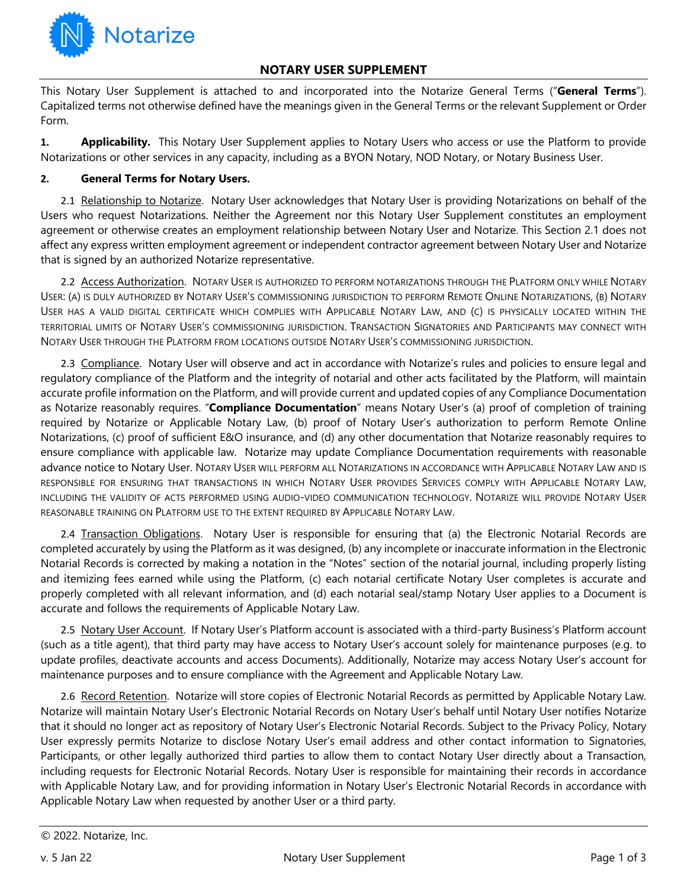

## **NOTARY USER SUPPLEMENT**

This Notary User Supplement is attached to and incorporated into the Notarize General Terms ("**General Terms**"). Capitalized terms not otherwise defined have the meanings given in the General Terms or the relevant Supplement or Order Form.

**1. Applicability.** This Notary User Supplement applies to Notary Users who access or use the Platform to provide Notarizations or other services in any capacity, including as a BYON Notary, NOD Notary, or Notary Business User.

## **2. General Terms for Notary Users.**

2.1 Relationship to Notarize. Notary User acknowledges that Notary User is providing Notarizations on behalf of the Users who request Notarizations. Neither the Agreement nor this Notary User Supplement constitutes an employment agreement or otherwise creates an employment relationship between Notary User and Notarize. This Section 2.1 does not affect any express written employment agreement or independent contractor agreement between Notary User and Notarize that is signed by an authorized Notarize representative.

2.2 Access Authorization. NOTARY USER IS AUTHORIZED TO PERFORM NOTARIZATIONS THROUGH THE PLATFORM ONLY WHILE NOTARY USER: (A) IS DULY AUTHORIZED BY NOTARY USER'S COMMISSIONING JURISDICTION TO PERFORM REMOTE ONLINE NOTARIZATIONS, (B) NOTARY USER HAS A VALID DIGITAL CERTIFICATE WHICH COMPLIES WITH APPLICABLE NOTARY LAW, AND (C) IS PHYSICALLY LOCATED WITHIN THE TERRITORIAL LIMITS OF NOTARY USER'S COMMISSIONING JURISDICTION. TRANSACTION SIGNATORIES AND PARTICIPANTS MAY CONNECT WITH NOTARY USER THROUGH THE PLATFORM FROM LOCATIONS OUTSIDE NOTARY USER'S COMMISSIONING JURISDICTION.

2.3 Compliance. Notary User will observe and act in accordance with Notarize's rules and policies to ensure legal and regulatory compliance of the Platform and the integrity of notarial and other acts facilitated by the Platform, will maintain accurate profile information on the Platform, and will provide current and updated copies of any Compliance Documentation as Notarize reasonably requires. "**Compliance Documentation**" means Notary User's (a) proof of completion of training required by Notarize or Applicable Notary Law, (b) proof of Notary User's authorization to perform Remote Online Notarizations, (c) proof of sufficient E&O insurance, and (d) any other documentation that Notarize reasonably requires to ensure compliance with applicable law. Notarize may update Compliance Documentation requirements with reasonable advance notice to Notary User. NOTARY USER WILL PERFORM ALL NOTARIZATIONS IN ACCORDANCE WITH APPLICABLE NOTARY LAW AND IS RESPONSIBLE FOR ENSURING THAT TRANSACTIONS IN WHICH NOTARY USER PROVIDES SERVICES COMPLY WITH APPLICABLE NOTARY LAW, INCLUDING THE VALIDITY OF ACTS PERFORMED USING AUDIO-VIDEO COMMUNICATION TECHNOLOGY. NOTARIZE WILL PROVIDE NOTARY USER REASONABLE TRAINING ON PLATFORM USE TO THE EXTENT REQUIRED BY APPLICABLE NOTARY LAW.

2.4 Transaction Obligations. Notary User is responsible for ensuring that (a) the Electronic Notarial Records are completed accurately by using the Platform as it was designed, (b) any incomplete or inaccurate information in the Electronic Notarial Records is corrected by making a notation in the "Notes" section of the notarial journal, including properly listing and itemizing fees earned while using the Platform, (c) each notarial certificate Notary User completes is accurate and properly completed with all relevant information, and (d) each notarial seal/stamp Notary User applies to a Document is accurate and follows the requirements of Applicable Notary Law.

2.5 Notary User Account. If Notary User's Platform account is associated with a third-party Business's Platform account (such as a title agent), that third party may have access to Notary User's account solely for maintenance purposes (e.g. to update profiles, deactivate accounts and access Documents). Additionally, Notarize may access Notary User's account for maintenance purposes and to ensure compliance with the Agreement and Applicable Notary Law.

2.6 Record Retention. Notarize will store copies of Electronic Notarial Records as permitted by Applicable Notary Law. Notarize will maintain Notary User's Electronic Notarial Records on Notary User's behalf until Notary User notifies Notarize that it should no longer act as repository of Notary User's Electronic Notarial Records. Subject to the Privacy Policy, Notary User expressly permits Notarize to disclose Notary User's email address and other contact information to Signatories, Participants, or other legally authorized third parties to allow them to contact Notary User directly about a Transaction, including requests for Electronic Notarial Records. Notary User is responsible for maintaining their records in accordance with Applicable Notary Law, and for providing information in Notary User's Electronic Notarial Records in accordance with Applicable Notary Law when requested by another User or a third party.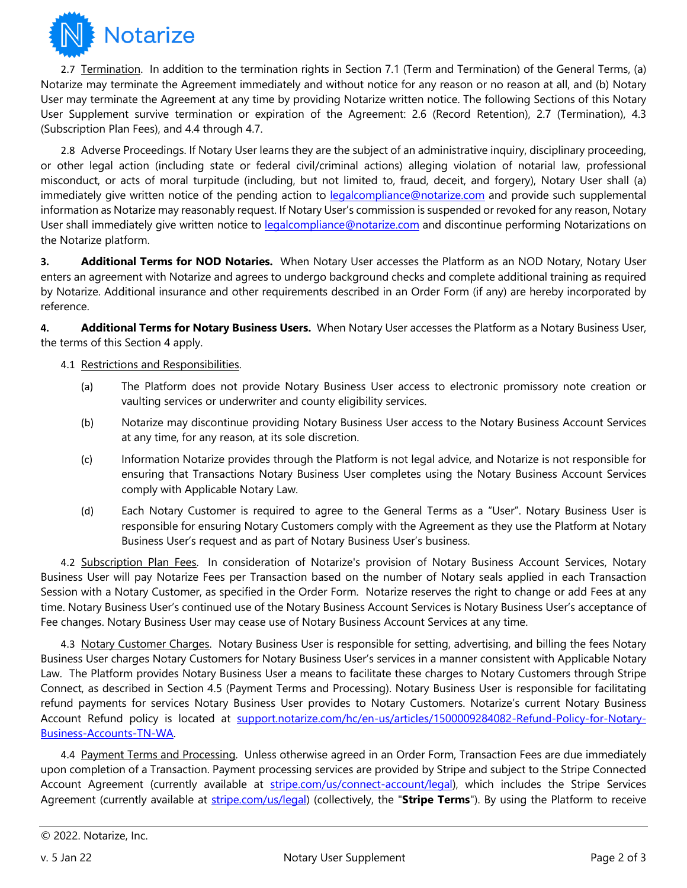

2.7 Termination. In addition to the termination rights in Section 7.1 (Term and Termination) of the General Terms, (a) Notarize may terminate the Agreement immediately and without notice for any reason or no reason at all, and (b) Notary User may terminate the Agreement at any time by providing Notarize written notice. The following Sections of this Notary User Supplement survive termination or expiration of the Agreement: 2.6 (Record Retention), 2.7 (Termination), 4.3 (Subscription Plan Fees), and 4.4 through 4.7.

2.8 Adverse Proceedings. If Notary User learns they are the subject of an administrative inquiry, disciplinary proceeding, or other legal action (including state or federal civil/criminal actions) alleging violation of notarial law, professional misconduct, or acts of moral turpitude (including, but not limited to, fraud, deceit, and forgery), Notary User shall (a) immediately give written notice of the pending action to legalcompliance@notarize.com and provide such supplemental information as Notarize may reasonably request. If Notary User's commission is suspended or revoked for any reason, Notary User shall immediately give written notice to legalcompliance@notarize.com and discontinue performing Notarizations on the Notarize platform.

**3. Additional Terms for NOD Notaries.** When Notary User accesses the Platform as an NOD Notary, Notary User enters an agreement with Notarize and agrees to undergo background checks and complete additional training as required by Notarize. Additional insurance and other requirements described in an Order Form (if any) are hereby incorporated by reference.

**4. Additional Terms for Notary Business Users.** When Notary User accesses the Platform as a Notary Business User, the terms of this Section 4 apply.

- 4.1 Restrictions and Responsibilities.
	- (a) The Platform does not provide Notary Business User access to electronic promissory note creation or vaulting services or underwriter and county eligibility services.
	- (b) Notarize may discontinue providing Notary Business User access to the Notary Business Account Services at any time, for any reason, at its sole discretion.
	- (c) Information Notarize provides through the Platform is not legal advice, and Notarize is not responsible for ensuring that Transactions Notary Business User completes using the Notary Business Account Services comply with Applicable Notary Law.
	- (d) Each Notary Customer is required to agree to the General Terms as a "User". Notary Business User is responsible for ensuring Notary Customers comply with the Agreement as they use the Platform at Notary Business User's request and as part of Notary Business User's business.

4.2 Subscription Plan Fees.In consideration of Notarize's provision of Notary Business Account Services, Notary Business User will pay Notarize Fees per Transaction based on the number of Notary seals applied in each Transaction Session with a Notary Customer, as specified in the Order Form. Notarize reserves the right to change or add Fees at any time. Notary Business User's continued use of the Notary Business Account Services is Notary Business User's acceptance of Fee changes. Notary Business User may cease use of Notary Business Account Services at any time.

4.3 Notary Customer Charges. Notary Business User is responsible for setting, advertising, and billing the fees Notary Business User charges Notary Customers for Notary Business User's services in a manner consistent with Applicable Notary Law. The Platform provides Notary Business User a means to facilitate these charges to Notary Customers through Stripe Connect, as described in Section 4.5 (Payment Terms and Processing). Notary Business User is responsible for facilitating refund payments for services Notary Business User provides to Notary Customers. Notarize's current Notary Business Account Refund policy is located at support.notarize.com/hc/en-us/articles/1500009284082-Refund-Policy-for-Notary-Business-Accounts-TN-WA.

4.4 Payment Terms and Processing. Unless otherwise agreed in an Order Form, Transaction Fees are due immediately upon completion of a Transaction. Payment processing services are provided by Stripe and subject to the Stripe Connected Account Agreement (currently available at stripe.com/us/connect-account/legal), which includes the Stripe Services Agreement (currently available at stripe.com/us/legal) (collectively, the "**Stripe Terms**"). By using the Platform to receive